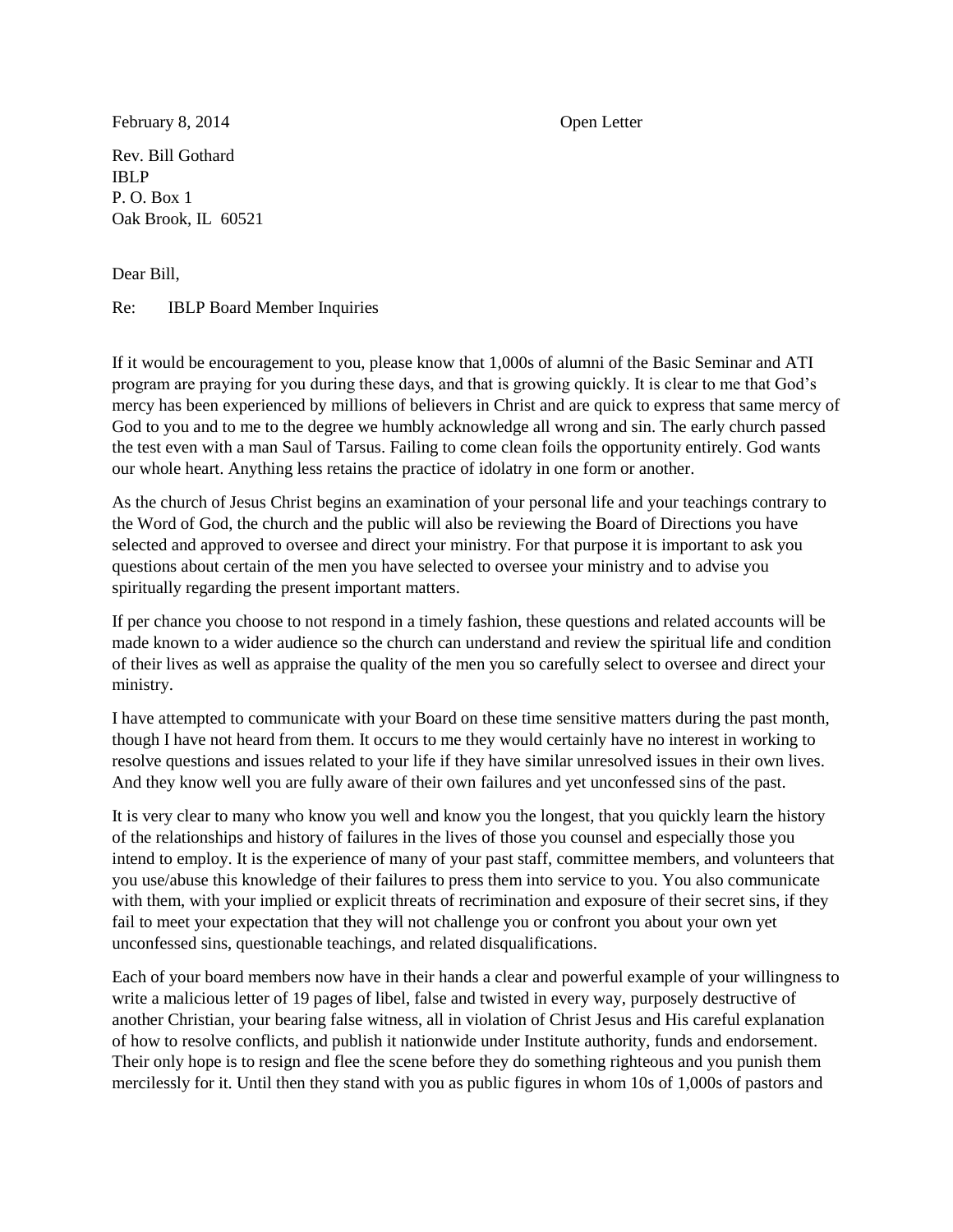February 8, 2014 Open Letter

Rev. Bill Gothard IBLP P. O. Box 1 Oak Brook, IL 60521

Dear Bill,

Re: IBLP Board Member Inquiries

If it would be encouragement to you, please know that 1,000s of alumni of the Basic Seminar and ATI program are praying for you during these days, and that is growing quickly. It is clear to me that God's mercy has been experienced by millions of believers in Christ and are quick to express that same mercy of God to you and to me to the degree we humbly acknowledge all wrong and sin. The early church passed the test even with a man Saul of Tarsus. Failing to come clean foils the opportunity entirely. God wants our whole heart. Anything less retains the practice of idolatry in one form or another.

As the church of Jesus Christ begins an examination of your personal life and your teachings contrary to the Word of God, the church and the public will also be reviewing the Board of Directions you have selected and approved to oversee and direct your ministry. For that purpose it is important to ask you questions about certain of the men you have selected to oversee your ministry and to advise you spiritually regarding the present important matters.

If per chance you choose to not respond in a timely fashion, these questions and related accounts will be made known to a wider audience so the church can understand and review the spiritual life and condition of their lives as well as appraise the quality of the men you so carefully select to oversee and direct your ministry.

I have attempted to communicate with your Board on these time sensitive matters during the past month, though I have not heard from them. It occurs to me they would certainly have no interest in working to resolve questions and issues related to your life if they have similar unresolved issues in their own lives. And they know well you are fully aware of their own failures and yet unconfessed sins of the past.

It is very clear to many who know you well and know you the longest, that you quickly learn the history of the relationships and history of failures in the lives of those you counsel and especially those you intend to employ. It is the experience of many of your past staff, committee members, and volunteers that you use/abuse this knowledge of their failures to press them into service to you. You also communicate with them, with your implied or explicit threats of recrimination and exposure of their secret sins, if they fail to meet your expectation that they will not challenge you or confront you about your own yet unconfessed sins, questionable teachings, and related disqualifications.

Each of your board members now have in their hands a clear and powerful example of your willingness to write a malicious letter of 19 pages of libel, false and twisted in every way, purposely destructive of another Christian, your bearing false witness, all in violation of Christ Jesus and His careful explanation of how to resolve conflicts, and publish it nationwide under Institute authority, funds and endorsement. Their only hope is to resign and flee the scene before they do something righteous and you punish them mercilessly for it. Until then they stand with you as public figures in whom 10s of 1,000s of pastors and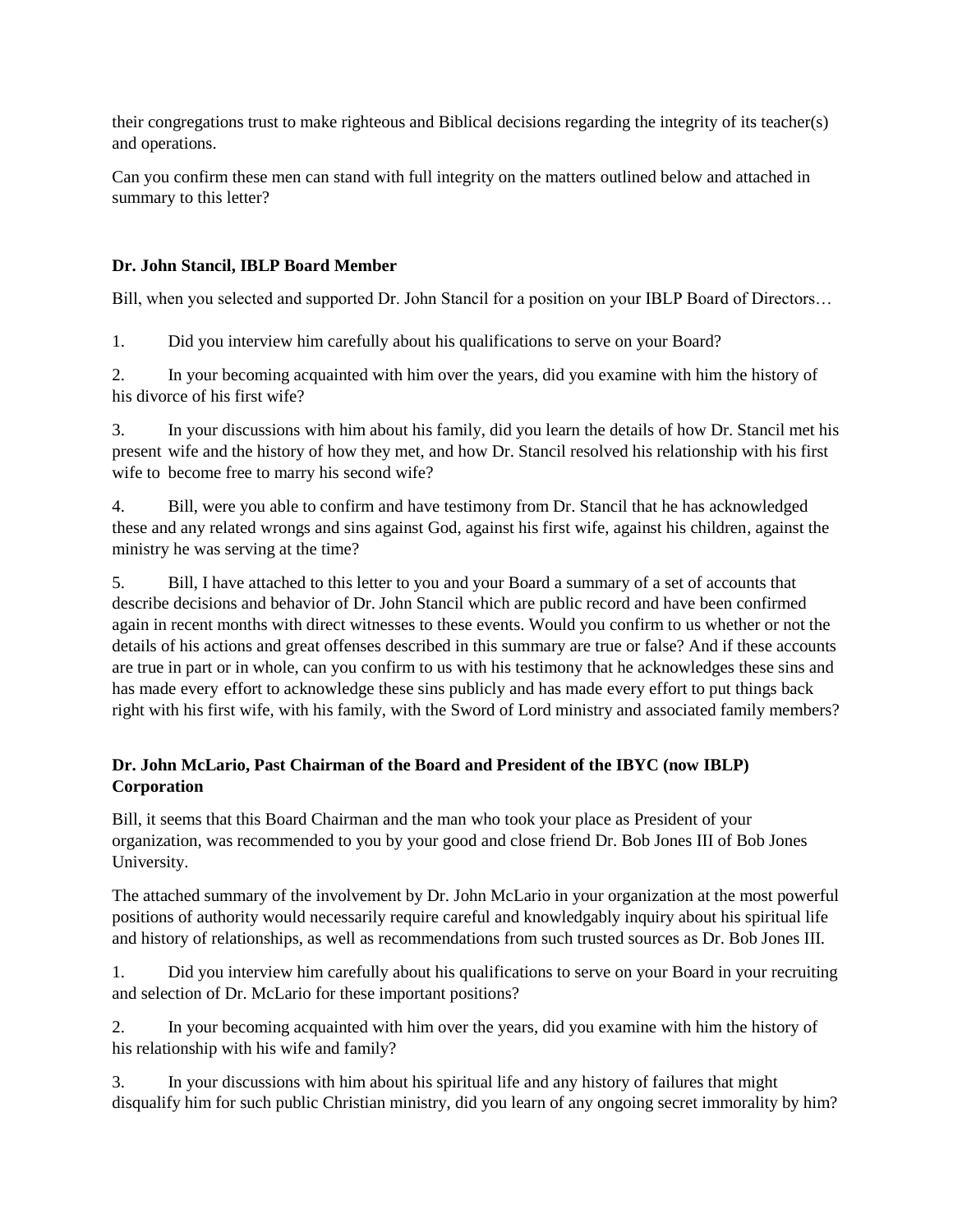their congregations trust to make righteous and Biblical decisions regarding the integrity of its teacher(s) and operations.

Can you confirm these men can stand with full integrity on the matters outlined below and attached in summary to this letter?

## **Dr. John Stancil, IBLP Board Member**

Bill, when you selected and supported Dr. John Stancil for a position on your IBLP Board of Directors…

1. Did you interview him carefully about his qualifications to serve on your Board?

2. In your becoming acquainted with him over the years, did you examine with him the history of his divorce of his first wife?

3. In your discussions with him about his family, did you learn the details of how Dr. Stancil met his present wife and the history of how they met, and how Dr. Stancil resolved his relationship with his first wife to become free to marry his second wife?

4. Bill, were you able to confirm and have testimony from Dr. Stancil that he has acknowledged these and any related wrongs and sins against God, against his first wife, against his children, against the ministry he was serving at the time?

5. Bill, I have attached to this letter to you and your Board a summary of a set of accounts that describe decisions and behavior of Dr. John Stancil which are public record and have been confirmed again in recent months with direct witnesses to these events. Would you confirm to us whether or not the details of his actions and great offenses described in this summary are true or false? And if these accounts are true in part or in whole, can you confirm to us with his testimony that he acknowledges these sins and has made every effort to acknowledge these sins publicly and has made every effort to put things back right with his first wife, with his family, with the Sword of Lord ministry and associated family members?

## **Dr. John McLario, Past Chairman of the Board and President of the IBYC (now IBLP) Corporation**

Bill, it seems that this Board Chairman and the man who took your place as President of your organization, was recommended to you by your good and close friend Dr. Bob Jones III of Bob Jones University.

The attached summary of the involvement by Dr. John McLario in your organization at the most powerful positions of authority would necessarily require careful and knowledgably inquiry about his spiritual life and history of relationships, as well as recommendations from such trusted sources as Dr. Bob Jones III.

1. Did you interview him carefully about his qualifications to serve on your Board in your recruiting and selection of Dr. McLario for these important positions?

2. In your becoming acquainted with him over the years, did you examine with him the history of his relationship with his wife and family?

3. In your discussions with him about his spiritual life and any history of failures that might disqualify him for such public Christian ministry, did you learn of any ongoing secret immorality by him?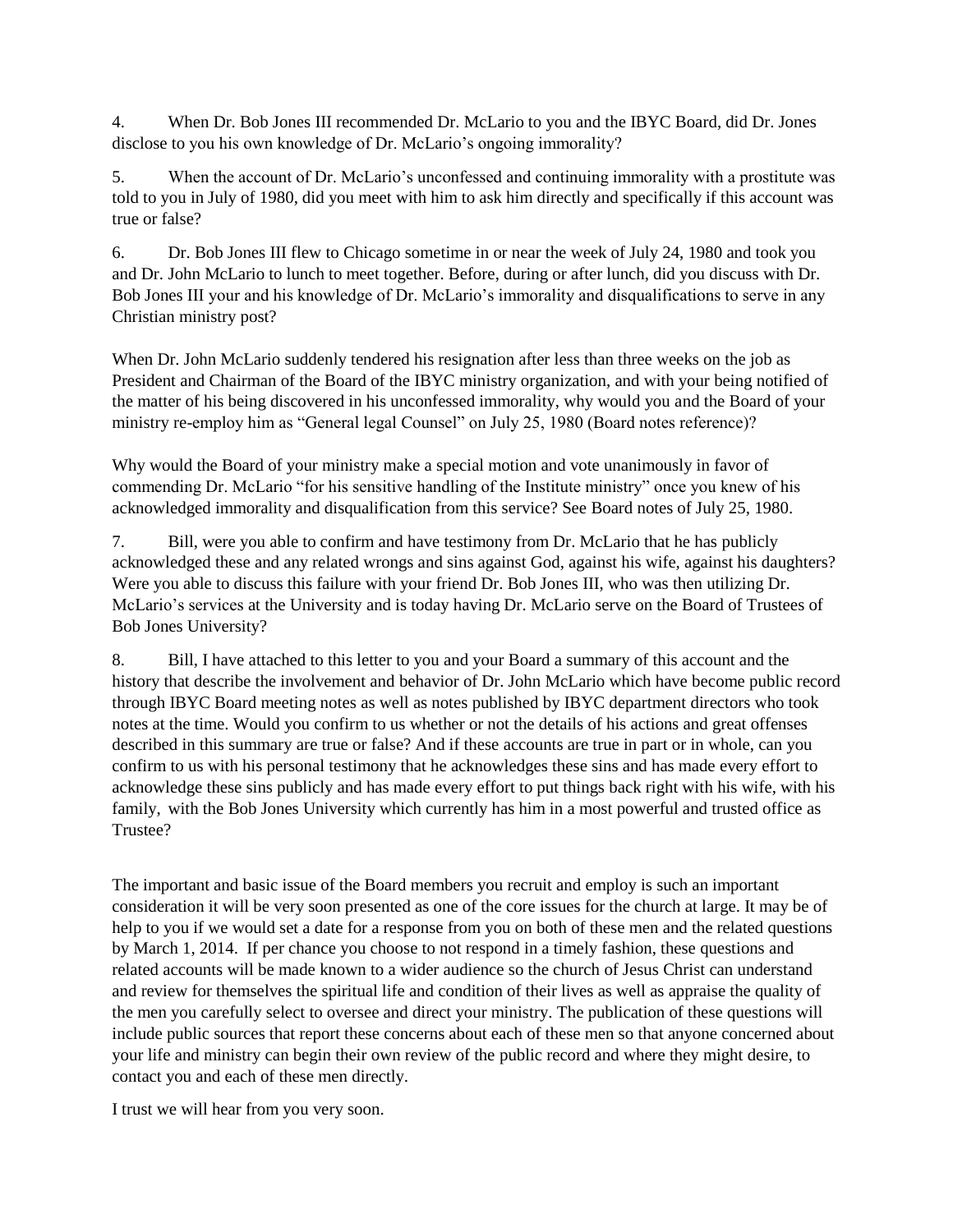4. When Dr. Bob Jones III recommended Dr. McLario to you and the IBYC Board, did Dr. Jones disclose to you his own knowledge of Dr. McLario's ongoing immorality?

5. When the account of Dr. McLario's unconfessed and continuing immorality with a prostitute was told to you in July of 1980, did you meet with him to ask him directly and specifically if this account was true or false?

6. Dr. Bob Jones III flew to Chicago sometime in or near the week of July 24, 1980 and took you and Dr. John McLario to lunch to meet together. Before, during or after lunch, did you discuss with Dr. Bob Jones III your and his knowledge of Dr. McLario's immorality and disqualifications to serve in any Christian ministry post?

When Dr. John McLario suddenly tendered his resignation after less than three weeks on the job as President and Chairman of the Board of the IBYC ministry organization, and with your being notified of the matter of his being discovered in his unconfessed immorality, why would you and the Board of your ministry re-employ him as "General legal Counsel" on July 25, 1980 (Board notes reference)?

Why would the Board of your ministry make a special motion and vote unanimously in favor of commending Dr. McLario "for his sensitive handling of the Institute ministry" once you knew of his acknowledged immorality and disqualification from this service? See Board notes of July 25, 1980.

7. Bill, were you able to confirm and have testimony from Dr. McLario that he has publicly acknowledged these and any related wrongs and sins against God, against his wife, against his daughters? Were you able to discuss this failure with your friend Dr. Bob Jones III, who was then utilizing Dr. McLario's services at the University and is today having Dr. McLario serve on the Board of Trustees of Bob Jones University?

8. Bill, I have attached to this letter to you and your Board a summary of this account and the history that describe the involvement and behavior of Dr. John McLario which have become public record through IBYC Board meeting notes as well as notes published by IBYC department directors who took notes at the time. Would you confirm to us whether or not the details of his actions and great offenses described in this summary are true or false? And if these accounts are true in part or in whole, can you confirm to us with his personal testimony that he acknowledges these sins and has made every effort to acknowledge these sins publicly and has made every effort to put things back right with his wife, with his family, with the Bob Jones University which currently has him in a most powerful and trusted office as Trustee?

The important and basic issue of the Board members you recruit and employ is such an important consideration it will be very soon presented as one of the core issues for the church at large. It may be of help to you if we would set a date for a response from you on both of these men and the related questions by March 1, 2014. If per chance you choose to not respond in a timely fashion, these questions and related accounts will be made known to a wider audience so the church of Jesus Christ can understand and review for themselves the spiritual life and condition of their lives as well as appraise the quality of the men you carefully select to oversee and direct your ministry. The publication of these questions will include public sources that report these concerns about each of these men so that anyone concerned about your life and ministry can begin their own review of the public record and where they might desire, to contact you and each of these men directly.

I trust we will hear from you very soon.